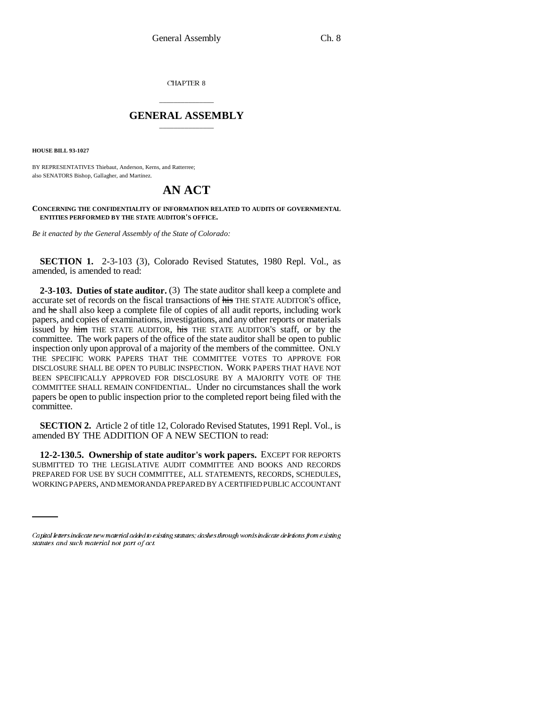CHAPTER 8

## \_\_\_\_\_\_\_\_\_\_\_\_\_\_\_ **GENERAL ASSEMBLY** \_\_\_\_\_\_\_\_\_\_\_\_\_\_\_

**HOUSE BILL 93-1027**

BY REPRESENTATIVES Thiebaut, Anderson, Kerns, and Ratterree; also SENATORS Bishop, Gallagher, and Martinez.

# **AN ACT**

#### **CONCERNING THE CONFIDENTIALITY OF INFORMATION RELATED TO AUDITS OF GOVERNMENTAL ENTITIES PERFORMED BY THE STATE AUDITOR'S OFFICE.**

*Be it enacted by the General Assembly of the State of Colorado:*

**SECTION 1.** 2-3-103 (3), Colorado Revised Statutes, 1980 Repl. Vol., as amended, is amended to read:

**2-3-103. Duties of state auditor.** (3) The state auditor shall keep a complete and accurate set of records on the fiscal transactions of his THE STATE AUDITOR'S office, and he shall also keep a complete file of copies of all audit reports, including work papers, and copies of examinations, investigations, and any other reports or materials issued by him THE STATE AUDITOR, his THE STATE AUDITOR'S staff, or by the committee. The work papers of the office of the state auditor shall be open to public inspection only upon approval of a majority of the members of the committee. ONLY THE SPECIFIC WORK PAPERS THAT THE COMMITTEE VOTES TO APPROVE FOR DISCLOSURE SHALL BE OPEN TO PUBLIC INSPECTION. WORK PAPERS THAT HAVE NOT BEEN SPECIFICALLY APPROVED FOR DISCLOSURE BY A MAJORITY VOTE OF THE COMMITTEE SHALL REMAIN CONFIDENTIAL. Under no circumstances shall the work papers be open to public inspection prior to the completed report being filed with the committee.

**SECTION 2.** Article 2 of title 12, Colorado Revised Statutes, 1991 Repl. Vol., is amended BY THE ADDITION OF A NEW SECTION to read:

**12-2-130.5. Ownership of state auditor's work papers.** EXCEPT FOR REPORTS SUBMITTED TO THE LEGISLATIVE AUDIT COMMITTEE AND BOOKS AND RECORDS PREPARED FOR USE BY SUCH COMMITTEE, ALL STATEMENTS, RECORDS, SCHEDULES, WORKING PAPERS, AND MEMORANDA PREPARED BY A CERTIFIED PUBLIC ACCOUNTANT

<sup>—————&</sup>lt;br>Capital letters indicate new material added to existing statutes; dashes through words indicate deletions from existing statutes and such material not part of act.